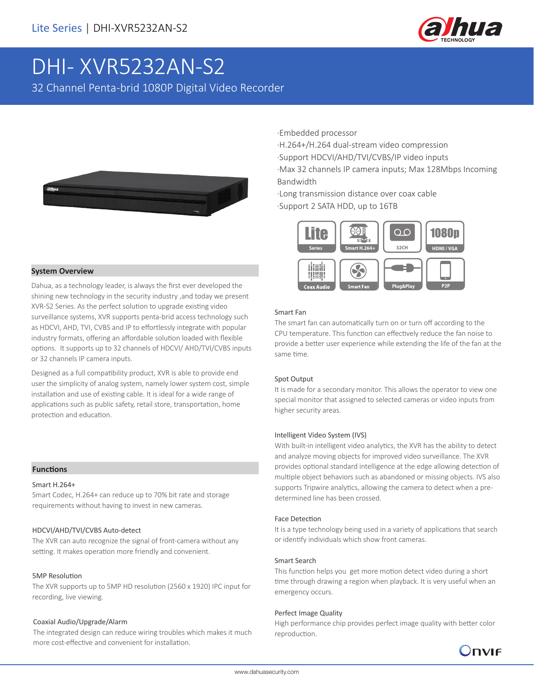

# DHI- XVR5232AN-S2

32 Channel Penta-brid 1080P Digital Video Recorder



# **System Overview**

Dahua, as a technology leader, is always the first ever developed the shining new technology in the security industry ,and today we present XVR-S2 Series. As the perfect solution to upgrade existing video surveillance systems, XVR supports penta-brid access technology such as HDCVI, AHD, TVI, CVBS and IP to effortlessly integrate with popular industry formats, offering an affordable solution loaded with flexible options. It supports up to 32 channels of HDCVI/ AHD/TVI/CVBS inputs or 32 channels IP camera inputs.

Designed as a full compatibility product, XVR is able to provide end user the simplicity of analog system, namely lower system cost, simple installation and use of existing cable. It is ideal for a wide range of applications such as public safety, retail store, transportation, home protection and education.

# **Functions**

#### Smart H.264+

Smart Codec, H.264+ can reduce up to 70% bit rate and storage requirements without having to invest in new cameras.

## HDCVI/AHD/TVI/CVBS Auto-detect

The XVR can auto recognize the signal of front-camera without any setting. It makes operation more friendly and convenient.

#### 5MP Resolution

The XVR supports up to 5MP HD resolution (2560 x 1920) IPC input for recording, live viewing.

## Coaxial Audio/Upgrade/Alarm

The integrated design can reduce wiring troubles which makes it much more cost-effective and convenient for installation.

·Embedded processor

·H.264+/H.264 dual-stream video compression ·Support HDCVI/AHD/TVI/CVBS/IP video inputs ·Max 32 channels IP camera inputs; Max 128Mbps Incoming Bandwidth

·Long transmission distance over coax cable ·Support 2 SATA HDD, up to 16TB



## Smart Fan

The smart fan can automatically turn on or turn off according to the CPU temperature. This function can effectively reduce the fan noise to provide a better user experience while extending the life of the fan at the same time.

## Spot Output

It is made for a secondary monitor. This allows the operator to view one special monitor that assigned to selected cameras or video inputs from higher security areas.

# Intelligent Video System (IVS)

With built-in intelligent video analytics, the XVR has the ability to detect and analyze moving objects for improved video surveillance. The XVR provides optional standard intelligence at the edge allowing detection of multiple object behaviors such as abandoned or missing objects. IVS also supports Tripwire analytics, allowing the camera to detect when a predetermined line has been crossed.

# Face Detection

It is a type technology being used in a variety of applications that search or identify individuals which show front cameras.

## Smart Search

This function helps you get more motion detect video during a short time through drawing a region when playback. It is very useful when an emergency occurs.

#### Perfect Image Quality

High performance chip provides perfect image quality with better color reproduction.

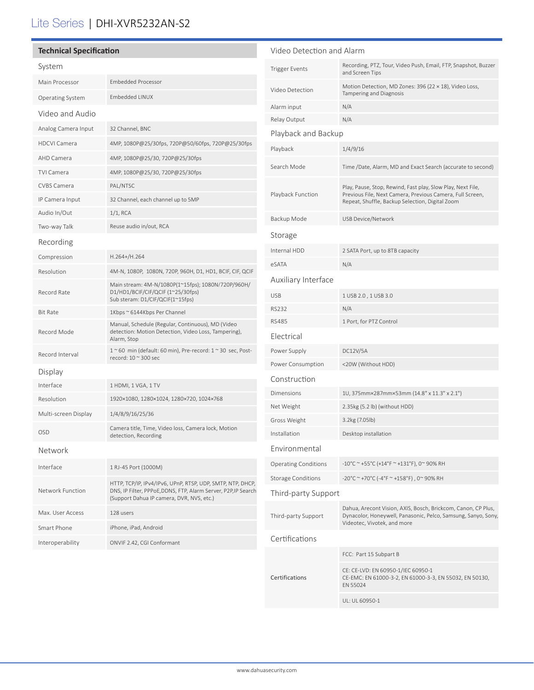# Lite Series | DHI-XVR5232AN-S2

| <b>Technical Specification</b> |                                                                                                                                                                           | Video Detection and Alarm   |                                                                                                                                                                             |
|--------------------------------|---------------------------------------------------------------------------------------------------------------------------------------------------------------------------|-----------------------------|-----------------------------------------------------------------------------------------------------------------------------------------------------------------------------|
| System                         |                                                                                                                                                                           | <b>Trigger Events</b>       | Recording, PTZ, Tour, Video Push, Email, FTP, Snapshot, Buzzer<br>and Screen Tips                                                                                           |
| Main Processor                 | <b>Embedded Processor</b>                                                                                                                                                 | Video Detection             | Motion Detection, MD Zones: 396 (22 × 18), Video Loss,<br><b>Tampering and Diagnosis</b>                                                                                    |
| Operating System               | Embedded LINUX                                                                                                                                                            | Alarm input                 | N/A                                                                                                                                                                         |
| Video and Audio                |                                                                                                                                                                           | Relay Output                | N/A                                                                                                                                                                         |
| Analog Camera Input            | 32 Channel, BNC                                                                                                                                                           | Playback and Backup         |                                                                                                                                                                             |
| <b>HDCVI Camera</b>            | 4MP, 1080P@25/30fps, 720P@50/60fps, 720P@25/30fps                                                                                                                         | Playback                    | 1/4/9/16                                                                                                                                                                    |
| AHD Camera                     | 4MP, 1080P@25/30, 720P@25/30fps                                                                                                                                           |                             |                                                                                                                                                                             |
| <b>TVI Camera</b>              | 4MP, 1080P@25/30, 720P@25/30fps                                                                                                                                           | Search Mode                 | Time /Date, Alarm, MD and Exact Search (accurate to second)                                                                                                                 |
| <b>CVBS Camera</b>             | PAL/NTSC                                                                                                                                                                  |                             | Play, Pause, Stop, Rewind, Fast play, Slow Play, Next File,<br>Previous File, Next Camera, Previous Camera, Full Screen,<br>Repeat, Shuffle, Backup Selection, Digital Zoom |
| IP Camera Input                | 32 Channel, each channel up to 5MP                                                                                                                                        | Playback Function           |                                                                                                                                                                             |
| Audio In/Out                   | $1/1$ , RCA                                                                                                                                                               |                             |                                                                                                                                                                             |
| Two-way Talk                   | Reuse audio in/out, RCA                                                                                                                                                   | Backup Mode                 | USB Device/Network                                                                                                                                                          |
| Recording                      |                                                                                                                                                                           | Storage                     |                                                                                                                                                                             |
| Compression                    | $H.264+/H.264$                                                                                                                                                            | Internal HDD                | 2 SATA Port, up to 8TB capacity                                                                                                                                             |
| Resolution                     | 4M-N, 1080P, 1080N, 720P, 960H, D1, HD1, BCIF, CIF, QCIF                                                                                                                  | eSATA                       | N/A                                                                                                                                                                         |
|                                | Main stream: 4M-N/1080P(1~15fps); 1080N/720P/960H/                                                                                                                        | Auxiliary Interface         |                                                                                                                                                                             |
| Record Rate                    | D1/HD1/BCIF/CIF/QCIF (1~25/30fps)<br>Sub steram: D1/CIF/QCIF(1~15fps)                                                                                                     | <b>USB</b>                  | 1 USB 2.0, 1 USB 3.0                                                                                                                                                        |
| <b>Bit Rate</b>                | 1Kbps ~ 6144Kbps Per Channel                                                                                                                                              | <b>RS232</b>                | N/A                                                                                                                                                                         |
|                                | Manual, Schedule (Regular, Continuous), MD (Video<br>detection: Motion Detection, Video Loss, Tampering),<br>Alarm, Stop                                                  | <b>RS485</b>                | 1 Port, for PTZ Control                                                                                                                                                     |
| Record Mode                    |                                                                                                                                                                           | Electrical                  |                                                                                                                                                                             |
| Record Interval                | $1~$ ~60 min (default: 60 min), Pre-record: $1~$ ~30 sec, Post-<br>record: $10 \approx 300$ sec                                                                           | Power Supply                | DC12V/5A                                                                                                                                                                    |
| Display                        |                                                                                                                                                                           | Power Consumption           | <20W (Without HDD)                                                                                                                                                          |
| Interface                      | 1 HDMI, 1 VGA, 1 TV                                                                                                                                                       | Construction                |                                                                                                                                                                             |
| Resolution                     | 1920×1080, 1280×1024, 1280×720, 1024×768                                                                                                                                  | Dimensions                  | 1U, 375mm×287mm×53mm (14.8" x 11.3" x 2.1")                                                                                                                                 |
| Multi-screen Display           | 1/4/8/9/16/25/36                                                                                                                                                          | Net Weight                  | 2.35kg (5.2 lb) (without HDD)                                                                                                                                               |
|                                | Camera title, Time, Video loss, Camera lock, Motion                                                                                                                       | Gross Weight                | 3.2kg (7.05lb)                                                                                                                                                              |
| OSD                            | detection, Recording                                                                                                                                                      | Installation                | Desktop installation                                                                                                                                                        |
| Network                        |                                                                                                                                                                           | Environmental               |                                                                                                                                                                             |
| Interface                      | 1 RJ-45 Port (1000M)                                                                                                                                                      | <b>Operating Conditions</b> | $-10^{\circ}$ C ~ +55°C (+14°F ~ +131°F), 0~90% RH                                                                                                                          |
| Network Function               | HTTP, TCP/IP, IPv4/IPv6, UPnP, RTSP, UDP, SMTP, NTP, DHCP,<br>DNS, IP Filter, PPPoE, DDNS, FTP, Alarm Server, P2P, IP Search<br>(Support Dahua IP camera, DVR, NVS, etc.) | <b>Storage Conditions</b>   | -20°C ~ +70°C (-4°F ~ +158°F), 0~90% RH                                                                                                                                     |
|                                |                                                                                                                                                                           | Third-party Support         |                                                                                                                                                                             |
| Max. User Access               | 128 users                                                                                                                                                                 | Third-party Support         | Dahua, Arecont Vision, AXIS, Bosch, Brickcom, Canon, CP Plus,<br>Dynacolor, Honeywell, Panasonic, Pelco, Samsung, Sanyo, Sony,                                              |
| Smart Phone                    | iPhone, iPad, Android                                                                                                                                                     | Videotec, Vivotek, and more |                                                                                                                                                                             |
| Interoperability               | ONVIF 2.42, CGI Conformant                                                                                                                                                | Certifications              |                                                                                                                                                                             |
|                                |                                                                                                                                                                           |                             | FCC: Part 15 Subpart B                                                                                                                                                      |

UL: UL 60950-1

EN 55024

CE: CE-LVD: EN 60950-1/IEC 60950-1

CE-EMC: EN 61000-3-2, EN 61000-3-3, EN 55032, EN 50130,

Certifications